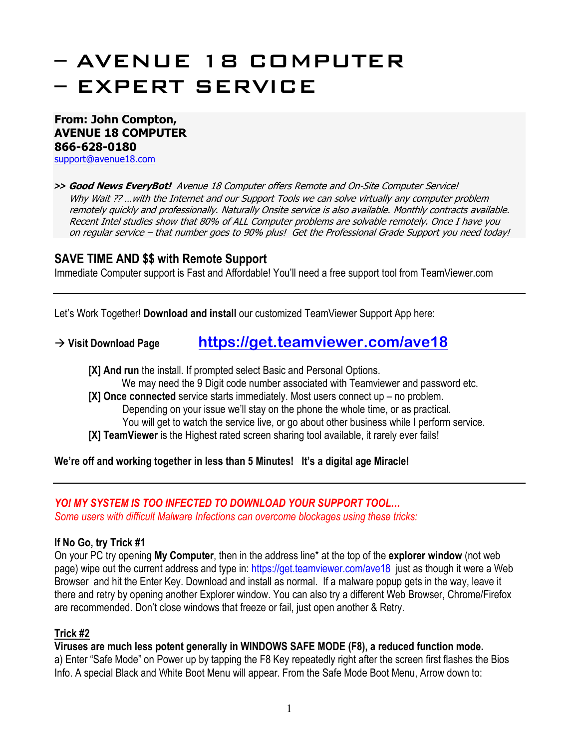# – AVENUE 18 COMPUTER – EXPERT SERVICE

**From: John Compton, AVENUE 18 COMPUTER 866-628-0180** support@avenue18.com

*>>* **Good News EveryBot!** Avenue 18 Computer offers Remote and On-Site Computer Service! Why Wait ?? ... with the Internet and our Support Tools we can solve virtually any computer problem remotely quickly and professionally. Naturally Onsite service is also available. Monthly contracts available. Recent Intel studies show that 80% of ALL Computer problems are solvable remotely. Once I have you on regular service – that number goes to 90% plus! Get the Professional Grade Support you need today!

### **SAVE TIME AND \$\$ with Remote Support**

Immediate Computer support is Fast and Affordable! You'll need a free support tool from TeamViewer.com

Let's Work Together! **Download and install** our customized TeamViewer Support App here:

֧֪֚֞֝֬֝֬֝֬֝֬֝֬֝

## **Visit Download Page https://get.teamviewer.com/ave18**

**[X] And run** the install. If prompted select Basic and Personal Options.

We may need the 9 Digit code number associated with Teamviewer and password etc.

**[X] Once connected** service starts immediately. Most users connect up – no problem. Depending on your issue we'll stay on the phone the whole time, or as practical. You will get to watch the service live, or go about other business while I perform service.

**[X] TeamViewer** is the Highest rated screen sharing tool available, it rarely ever fails!

**We're off and working together in less than 5 Minutes! It's a digital age Miracle!** 

#### *YO! MY SYSTEM IS TOO INFECTED TO DOWNLOAD YOUR SUPPORT TOOL…*

*Some users with difficult Malware Infections can overcome blockages using these tricks:* 

#### **If No Go, try Trick #1**

On your PC try opening **My Computer**, then in the address line\* at the top of the **explorer window** (not web page) wipe out the current address and type in: https://get.teamviewer.com/ave18 just as though it were a Web Browser and hit the Enter Key. Download and install as normal. If a malware popup gets in the way, leave it there and retry by opening another Explorer window. You can also try a different Web Browser, Chrome/Firefox are recommended. Don't close windows that freeze or fail, just open another & Retry.

#### **Trick #2**

**Viruses are much less potent generally in WINDOWS SAFE MODE (F8), a reduced function mode.**

a) Enter "Safe Mode" on Power up by tapping the F8 Key repeatedly right after the screen first flashes the Bios Info. A special Black and White Boot Menu will appear. From the Safe Mode Boot Menu, Arrow down to: